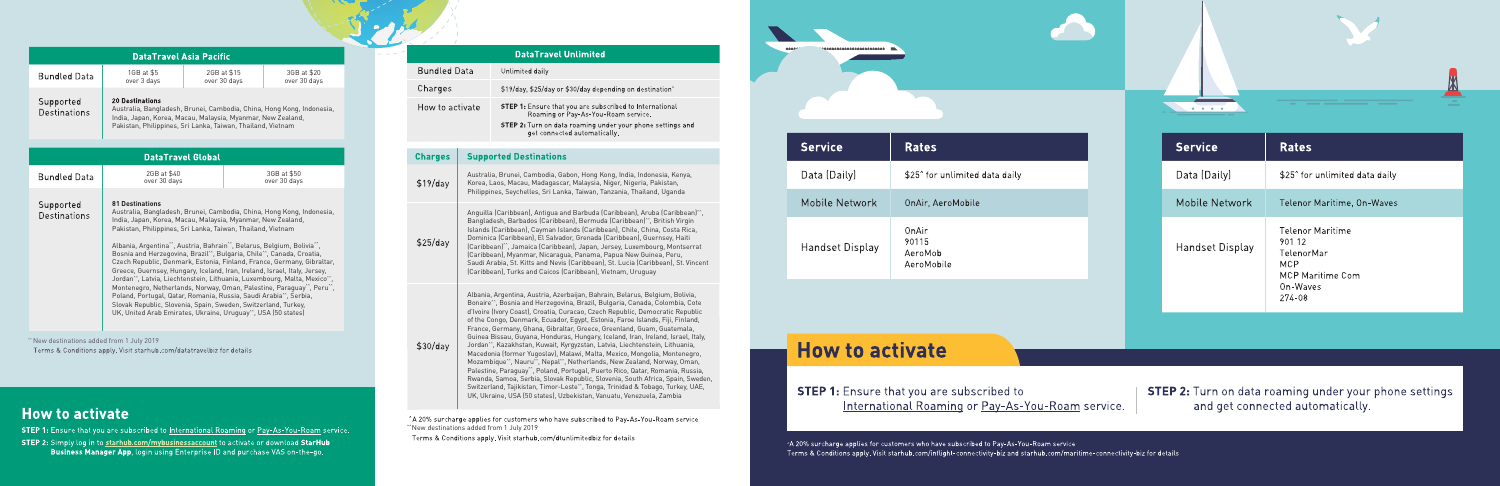| <b>DataTravel Asia Pacific</b> |                                                                                               |                             |                             |  |
|--------------------------------|-----------------------------------------------------------------------------------------------|-----------------------------|-----------------------------|--|
| <b>Bundled Data</b>            | 1GB at \$5<br>over 3 days                                                                     | 2GB at \$15<br>over 30 days | 3GB at \$20<br>over 30 days |  |
| Supported<br>Destinations      | <b>20 Destinations</b><br>Australia, Bangladesh, Brunei, Cambodia, China, Hong Kong, Indonesi |                             |                             |  |

Australia, Bangladesh, Brunei, Cambodia, China, Hong Kong, Indonesia, India, Japan, Korea, Macau, Malaysia, Myanmar, New Zealand, Pakistan, Philippines, Sri Lanka, Taiwan, Thailand, Vietnam

| <b>DataTravel Global</b>                                                                                         |                                                                                                                                                                                                                                                                                                                                                                                                                                                                                                                                                                                                                                                                                                                                                                                                                                                                                                                                                                                             |                             |  |  |
|------------------------------------------------------------------------------------------------------------------|---------------------------------------------------------------------------------------------------------------------------------------------------------------------------------------------------------------------------------------------------------------------------------------------------------------------------------------------------------------------------------------------------------------------------------------------------------------------------------------------------------------------------------------------------------------------------------------------------------------------------------------------------------------------------------------------------------------------------------------------------------------------------------------------------------------------------------------------------------------------------------------------------------------------------------------------------------------------------------------------|-----------------------------|--|--|
| <b>Bundled Data</b>                                                                                              | 2GB at \$40<br>over 30 days                                                                                                                                                                                                                                                                                                                                                                                                                                                                                                                                                                                                                                                                                                                                                                                                                                                                                                                                                                 | 3GB at \$50<br>over 30 days |  |  |
| Supported<br>Destinations                                                                                        | <b>81 Destinations</b><br>Australia, Bangladesh, Brunei, Cambodia, China, Hong Kong, Indonesia,<br>India, Japan, Korea, Macau, Malaysia, Myanmar, New Zealand,<br>Pakistan, Philippines, Sri Lanka, Taiwan, Thailand, Vietnam<br>Albania, Argentina <sup>**</sup> , Austria, Bahrain <sup>**</sup> , Belarus, Belgium, Bolivia <sup>**</sup> ,<br>Bosnia and Herzegovina, Brazil", Bulgaria, Chile", Canada, Croatia,<br>Czech Republic, Denmark, Estonia, Finland, France, Germany, Gibraltar,<br>Greece, Guernsey, Hungary, Iceland, Iran, Ireland, Israel, Italy, Jersey,<br>Jordan <sup>on</sup> , Latvia, Liechtenstein, Lithuania, Luxembourg, Malta, Mexico <sup>no</sup> ,<br>Montenegro, Netherlands, Norway, Oman, Palestine, Paraguay", Peru",<br>Poland, Portugal, Qatar, Romania, Russia, Saudi Arabia <sup>**</sup> , Serbia,<br>Slovak Republic, Slovenia, Spain, Sweden, Switzerland, Turkey,<br>UK, United Arab Emirates, Ukraine, Uruquay <sup>**</sup> , USA (50 states) |                             |  |  |
| New destinations added from 1 July 2019<br>Torme 8. Canditions annly Visit starbub com/datateavalbis for datails |                                                                                                                                                                                                                                                                                                                                                                                                                                                                                                                                                                                                                                                                                                                                                                                                                                                                                                                                                                                             |                             |  |  |

#### **How to activate**

STEP 1: Ensure that you are subscribed to International Roaming or Pay-As-You-Roam service. STEP 2: Simply log in to starhub.com/mybusinessaccount to activate or download StarHub Business Manager App, login using Enterprise ID and purchase VAS on-the-go.

|            | <b>DataTravel Unlimited</b>                                                                           |
|------------|-------------------------------------------------------------------------------------------------------|
| ed Data    | Unlimited daily                                                                                       |
| es         | \$19/day, \$25/day or \$30/day depending on destination"                                              |
| o activate | <b>STEP 1:</b> Ensure that you are subscribed to International<br>Roaming or Pay-As-You-Roam service. |
|            | STEP 2: Turn on data roaming under your phone settings and                                            |

get connected automatically.

#### **Supported Destinations Charges**

Bunc Chard How

Australia, Brunei, Cambodia, Gabon, Hong Kong, India, Indonesia, Kenya,  $$19$ /dav Korea, Laos, Macau, Madagascar, Malaysia, Niger, Nigeria, Pakistan, Philippines, Seychelles, Sri Lanka, Taiwan, Tanzania, Thailand, Uganda

Anguilla (Caribbean), Antigua and Barbuda (Caribbean), Aruba (Caribbean)<sup>\*</sup> Bangladesh, Barbados (Caribbean), Bermuda (Caribbean)<sup>\*\*</sup>, British Virgin Islands (Caribbean), Cayman Islands (Caribbean), Chile, China, Costa Rica, Dominica (Caribbean), El Salvador, Grenada (Caribbean), Guernsey, Haiti  $$25$ /day (Caribbean)^^, Jamaica (Caribbean), Japan, Jersey, Luxembourg, Montserrat (Caribbean), Myanmar, Nicaragua, Panama, Papua New Guinea, Peru, Saudi Arabia, St. Kitts and Nevis (Caribbean), St. Lucia (Caribbean), St. Vincent (Caribbean), Turks and Caicos (Caribbean), Vietnam, Uruguay

Albania, Argentina, Austria, Azerbaijan, Bahrain, Belarus, Belgium, Bolivia, Bonaire^^ , Bosnia and Herzegovina, Brazil, Bulgaria, Canada, Colombia, Cote d'Ivoire (Ivory Coast), Croatia, Curacao, Czech Republic, Democratic Republic of the Congo, Denmark, Ecuador, Egypt, Estonia, Faroe Islands, Fiji, Finland, France, Germany, Ghana, Gibraltar, Greece, Greenland, Guam, Guatemala, Guinea Bissau, Guyana, Honduras, Hungary, Iceland, Iran, Ireland, Israel, Italy,  $$30/day$ Jordan^^ , Kazakhstan, Kuwait, Kyrgyzstan, Latvia, Liechtenstein, Lithuania, Macedonia (former Yugoslav), Malawi, Malta, Mexico, Mongolia, Montenegro, Mozambique<sup>\*\*</sup>, Nauru<sup>\*\*</sup>, Nepal<sup>\*\*</sup>, Netherlands, New Zealand, Norway, Oman, Palestine, Paraguay<sup>\*\*</sup>, Poland, Portugal, Puerto Rico, Qatar, Romania, Russia, Rwanda, Samoa, Serbia, Slovak Republic, Slovenia, South Africa, Spain, Sweden, Switzerland, Tajikistan, Timor-Leste<sup>\*\*</sup>, Tonga, Trinidad & Tobago, Turkey, UAE, UK, Ukraine, USA (50 states), Uzbekistan, Vanuatu, Venezuela, Zambia

^A 20% surcharge applies for customers who have subscribed to Pay-As-You-Roam service ^^New destinations added from 1 July 2019

| <b>Service</b>  | Rates                                      |  |
|-----------------|--------------------------------------------|--|
| Data (Daily)    | \$25 <sup>^</sup> for unlimited data daily |  |
| Mobile Network  | OnAir. AeroMobile                          |  |
| Handset Display | OnAir<br>90115<br>AeroMob<br>AeroMobile    |  |

| <b>Service</b>  | <b>Rates</b>                                                                                     |
|-----------------|--------------------------------------------------------------------------------------------------|
| Data (Daily)    | \$25 <sup>^</sup> for unlimited data daily                                                       |
| Mobile Network  | Telenor Maritime, On-Waves                                                                       |
| Handset Display | Telenor Maritime<br>901 12<br>TelenorMar<br>MCP<br><b>MCP Maritime Com</b><br>On-Waves<br>274-08 |

*Charles Committee* 

#### **How to activate**

**STEP 1:** Ensure that you are subscribed to International Roaming or Pay-As-You-Roam service. **STEP 2:** Turn on data roaming under your phone settings and get connected automatically.